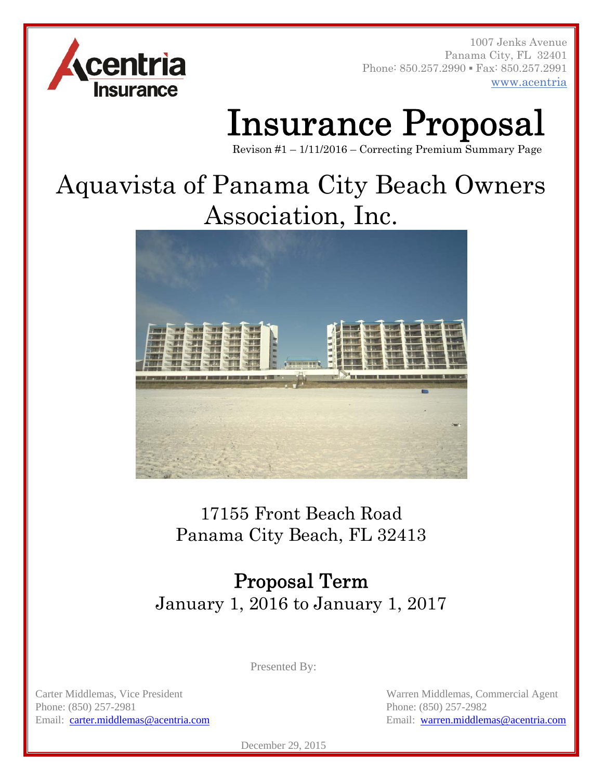

1007 Jenks Avenue Panama City, FL 32401 Phone: 850.257.2990 • Fax: 850.257.2991 www.acentria

# Insurance Proposal

Revison #1 – 1/11/2016 – Correcting Premium Summary Page

## Aquavista of Panama City Beach Owners Association, Inc.



17155 Front Beach Road Panama City Beach, FL 32413

Proposal Term January 1, 2016 to January 1, 2017

Presented By:

Phone: (850) 257-2981 Phone: (850) 257-2982

Carter Middlemas, Vice President Warren Middlemas, Commercial Agent Email: carter.middlemas@acentria.com Email: warren.middlemas@acentria.com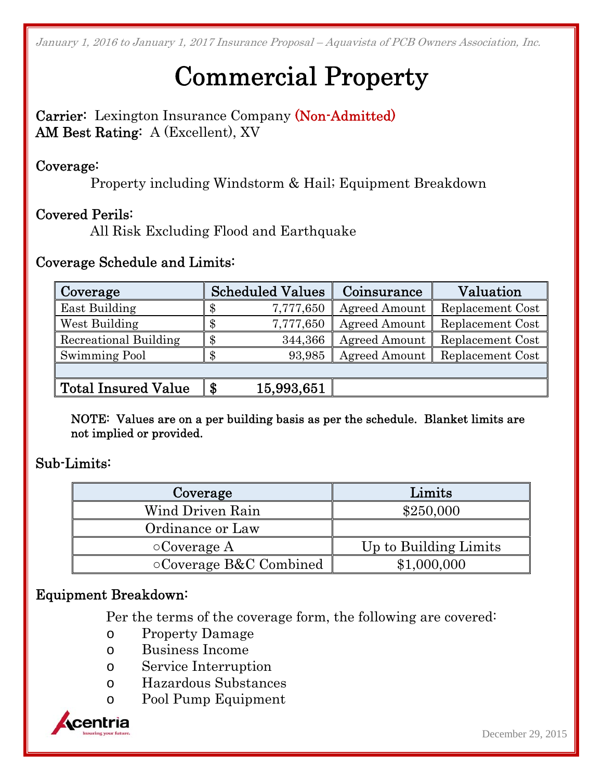# Commercial Property

Carrier: Lexington Insurance Company (Non-Admitted) AM Best Rating: A (Excellent), XV

#### Coverage:

Property including Windstorm & Hail; Equipment Breakdown

#### Covered Perils:

All Risk Excluding Flood and Earthquake

#### Coverage Schedule and Limits:

| Coverage              | <b>Scheduled Values</b> | Coinsurance   | Valuation        |  |
|-----------------------|-------------------------|---------------|------------------|--|
| East Building         | 7,777,650               | Agreed Amount | Replacement Cost |  |
| West Building         | 7,777,650<br>$^{\circ}$ | Agreed Amount | Replacement Cost |  |
| Recreational Building | 344,366                 | Agreed Amount | Replacement Cost |  |
| Swimming Pool         | 93,985                  | Agreed Amount | Replacement Cost |  |
|                       |                         |               |                  |  |

Total Insured Value  $\frac{1}{3}$  15,993,651

NOTE: Values are on a per building basis as per the schedule. Blanket limits are not implied or provided.

Sub-Limits:

| Coverage                      | Limits                |
|-------------------------------|-----------------------|
| Wind Driven Rain              | \$250,000             |
| Ordinance or Law              |                       |
| $\circ$ Coverage A            | Up to Building Limits |
| $\circ$ Coverage B&C Combined | \$1,000,000           |

#### Equipment Breakdown:

Per the terms of the coverage form, the following are covered:

- o Property Damage
- o Business Income
- o Service Interruption
- o Hazardous Substances
- o Pool Pump Equipment

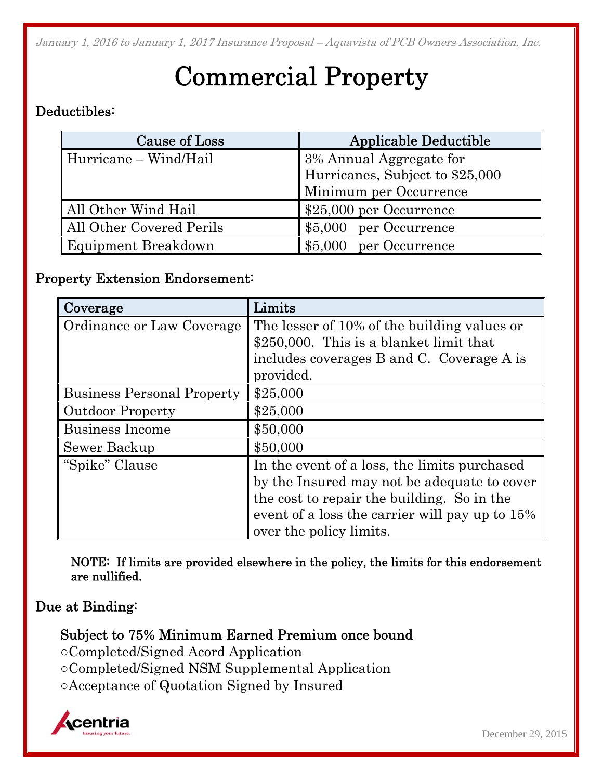# Commercial Property

### Deductibles:

| Cause of Loss              | Applicable Deductible           |  |  |
|----------------------------|---------------------------------|--|--|
| Hurricane – Wind/Hail      | 3% Annual Aggregate for         |  |  |
|                            | Hurricanes, Subject to \$25,000 |  |  |
|                            | Minimum per Occurrence          |  |  |
| All Other Wind Hail        | \$25,000 per Occurrence         |  |  |
| All Other Covered Perils   | per Occurrence<br>\$5,000       |  |  |
| <b>Equipment Breakdown</b> | \$5,000 per Occurrence          |  |  |

#### Property Extension Endorsement:

| Coverage                          | Limits                                         |  |  |
|-----------------------------------|------------------------------------------------|--|--|
| Ordinance or Law Coverage         | The lesser of 10% of the building values or    |  |  |
|                                   | \$250,000. This is a blanket limit that        |  |  |
|                                   | includes coverages B and C. Coverage A is      |  |  |
|                                   | provided.                                      |  |  |
| <b>Business Personal Property</b> | \$25,000                                       |  |  |
| <b>Outdoor Property</b>           | \$25,000                                       |  |  |
| <b>Business Income</b>            | \$50,000                                       |  |  |
| Sewer Backup                      | \$50,000                                       |  |  |
| "Spike" Clause                    | In the event of a loss, the limits purchased   |  |  |
|                                   | by the Insured may not be adequate to cover    |  |  |
|                                   | the cost to repair the building. So in the     |  |  |
|                                   | event of a loss the carrier will pay up to 15% |  |  |
|                                   | over the policy limits.                        |  |  |

NOTE: If limits are provided elsewhere in the policy, the limits for this endorsement are nullified.

#### Due at Binding:

Subject to 75% Minimum Earned Premium once bound

○Completed/Signed Acord Application

- ○Completed/Signed NSM Supplemental Application
- ○Acceptance of Quotation Signed by Insured

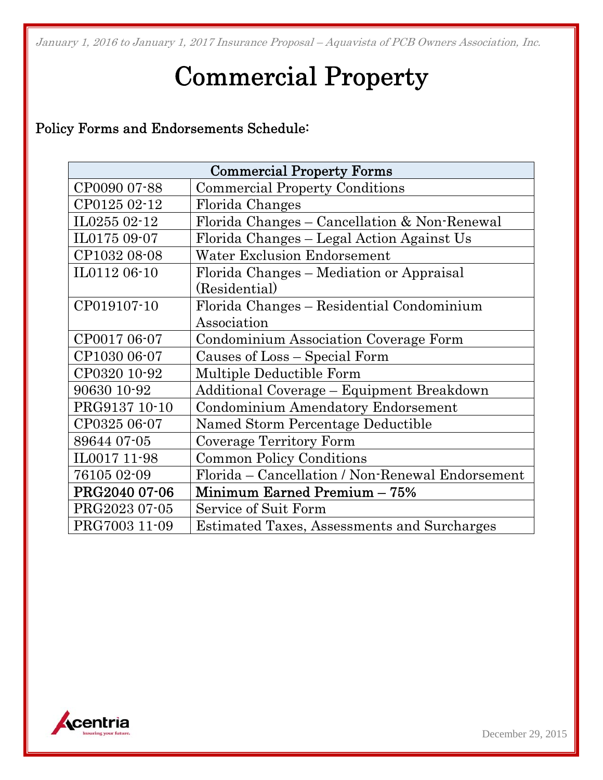# Commercial Property

### Policy Forms and Endorsements Schedule:

| <b>Commercial Property Forms</b> |                                                  |  |  |
|----------------------------------|--------------------------------------------------|--|--|
| CP0090 07-88                     | <b>Commercial Property Conditions</b>            |  |  |
| CP0125 02-12                     | Florida Changes                                  |  |  |
| IL0255 02-12                     | Florida Changes – Cancellation & Non-Renewal     |  |  |
| IL0175 09-07                     | Florida Changes – Legal Action Against Us        |  |  |
| CP1032 08-08                     | <b>Water Exclusion Endorsement</b>               |  |  |
| IL0112 06-10                     | Florida Changes – Mediation or Appraisal         |  |  |
|                                  | (Residential)                                    |  |  |
| CP019107-10                      | Florida Changes – Residential Condominium        |  |  |
|                                  | Association                                      |  |  |
| CP0017 06-07                     | Condominium Association Coverage Form            |  |  |
| CP1030 06-07                     | Causes of Loss – Special Form                    |  |  |
| CP0320 10-92                     | Multiple Deductible Form                         |  |  |
| 90630 10-92                      | Additional Coverage – Equipment Breakdown        |  |  |
| PRG9137 10-10                    | <b>Condominium Amendatory Endorsement</b>        |  |  |
| CP0325 06-07                     | Named Storm Percentage Deductible                |  |  |
| 89644 07-05                      | Coverage Territory Form                          |  |  |
| IL0017 11-98                     | <b>Common Policy Conditions</b>                  |  |  |
| 76105 02-09                      | Florida – Cancellation / Non-Renewal Endorsement |  |  |
| PRG2040 07-06                    | Minimum Earned Premium - 75%                     |  |  |
| PRG2023 07-05                    | Service of Suit Form                             |  |  |
| PRG7003 11-09                    | Estimated Taxes, Assessments and Surcharges      |  |  |

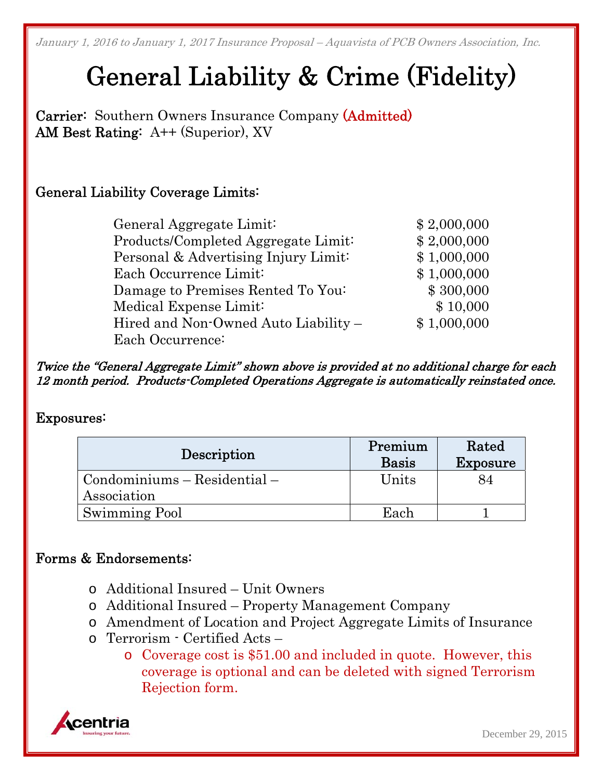# General Liability & Crime (Fidelity)

Carrier: Southern Owners Insurance Company (Admitted) AM Best Rating: A++ (Superior), XV

#### General Liability Coverage Limits:

| General Aggregate Limit:             | \$2,000,000 |
|--------------------------------------|-------------|
| Products/Completed Aggregate Limit:  | \$2,000,000 |
| Personal & Advertising Injury Limit: | \$1,000,000 |
| Each Occurrence Limit:               | \$1,000,000 |
| Damage to Premises Rented To You:    | \$300,000   |
| Medical Expense Limit:               | \$10,000    |
| Hired and Non-Owned Auto Liability – | \$1,000,000 |
| Each Occurrence:                     |             |

Twice the "General Aggregate Limit" shown above is provided at no additional charge for each 12 month period. Products-Completed Operations Aggregate is automatically reinstated once.

#### Exposures:

| Description                   | Premium<br><b>Basis</b> | Rated<br>Exposure |
|-------------------------------|-------------------------|-------------------|
| $Condominiums - Residental -$ | Units                   | 84                |
| Association                   |                         |                   |
| Swimming Pool                 | Each                    |                   |

#### Forms & Endorsements:

- o Additional Insured Unit Owners
- o Additional Insured Property Management Company
- o Amendment of Location and Project Aggregate Limits of Insurance
- o Terrorism Certified Acts
	- o Coverage cost is \$51.00 and included in quote. However, this coverage is optional and can be deleted with signed Terrorism Rejection form.

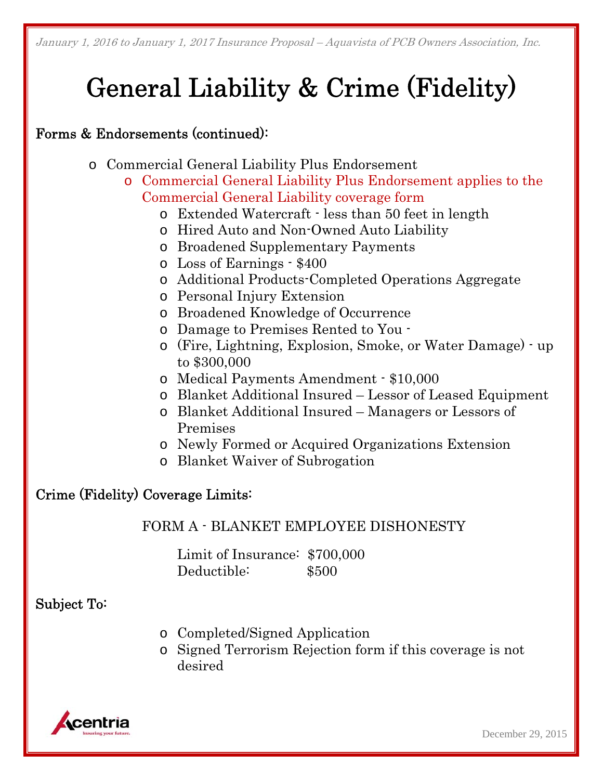# General Liability & Crime (Fidelity)

#### Forms & Endorsements (continued):

- o Commercial General Liability Plus Endorsement
	- o Commercial General Liability Plus Endorsement applies to the Commercial General Liability coverage form
		- o Extended Watercraft less than 50 feet in length
		- o Hired Auto and Non-Owned Auto Liability
		- o Broadened Supplementary Payments
		- o Loss of Earnings \$400
		- o Additional Products-Completed Operations Aggregate
		- o Personal Injury Extension
		- o Broadened Knowledge of Occurrence
		- o Damage to Premises Rented to You -
		- o (Fire, Lightning, Explosion, Smoke, or Water Damage) up to \$300,000
		- o Medical Payments Amendment \$10,000
		- o Blanket Additional Insured Lessor of Leased Equipment
		- o Blanket Additional Insured Managers or Lessors of Premises
		- o Newly Formed or Acquired Organizations Extension
		- o Blanket Waiver of Subrogation

### Crime (Fidelity) Coverage Limits:

#### FORM A - BLANKET EMPLOYEE DISHONESTY

Limit of Insurance: \$700,000 Deductible: \$500

#### Subject To:

- o Completed/Signed Application
- o Signed Terrorism Rejection form if this coverage is not desired

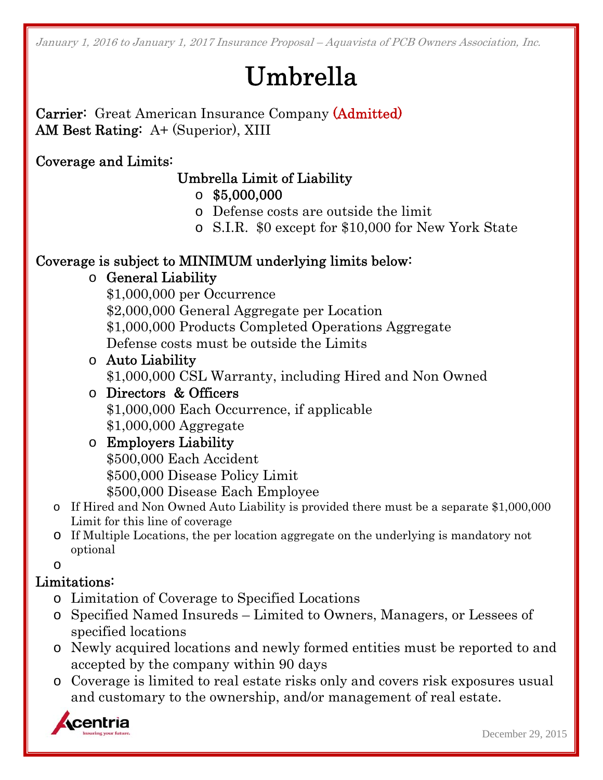# Umbrella

Carrier: Great American Insurance Company (Admitted) AM Best Rating: A+ (Superior), XIII

### Coverage and Limits:

### Umbrella Limit of Liability

- $\circ$  \$5,000,000
- o Defense costs are outside the limit
- o S.I.R. \$0 except for \$10,000 for New York State

### Coverage is subject to MINIMUM underlying limits below:

- o General Liability
	- \$1,000,000 per Occurrence \$2,000,000 General Aggregate per Location \$1,000,000 Products Completed Operations Aggregate Defense costs must be outside the Limits
- o Auto Liability \$1,000,000 CSL Warranty, including Hired and Non Owned
- o Directors & Officers \$1,000,000 Each Occurrence, if applicable \$1,000,000 Aggregate

### o Employers Liability

\$500,000 Each Accident \$500,000 Disease Policy Limit \$500,000 Disease Each Employee

- o If Hired and Non Owned Auto Liability is provided there must be a separate \$1,000,000 Limit for this line of coverage
- o If Multiple Locations, the per location aggregate on the underlying is mandatory not optional

#### o

### Limitations:

- o Limitation of Coverage to Specified Locations
- o Specified Named Insureds Limited to Owners, Managers, or Lessees of specified locations
- o Newly acquired locations and newly formed entities must be reported to and accepted by the company within 90 days
- o Coverage is limited to real estate risks only and covers risk exposures usual and customary to the ownership, and/or management of real estate.

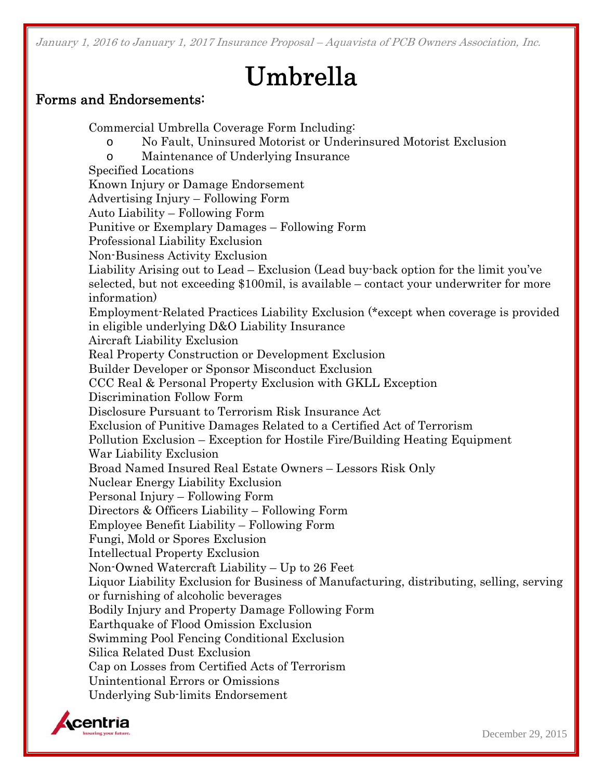# Umbrella

#### Forms and Endorsements:

Commercial Umbrella Coverage Form Including: o No Fault, Uninsured Motorist or Underinsured Motorist Exclusion o Maintenance of Underlying Insurance Specified Locations Known Injury or Damage Endorsement Advertising Injury – Following Form Auto Liability – Following Form Punitive or Exemplary Damages – Following Form Professional Liability Exclusion Non-Business Activity Exclusion Liability Arising out to Lead – Exclusion (Lead buy-back option for the limit you've selected, but not exceeding \$100mil, is available – contact your underwriter for more information) Employment-Related Practices Liability Exclusion (\*except when coverage is provided in eligible underlying D&O Liability Insurance Aircraft Liability Exclusion Real Property Construction or Development Exclusion Builder Developer or Sponsor Misconduct Exclusion CCC Real & Personal Property Exclusion with GKLL Exception Discrimination Follow Form Disclosure Pursuant to Terrorism Risk Insurance Act Exclusion of Punitive Damages Related to a Certified Act of Terrorism Pollution Exclusion – Exception for Hostile Fire/Building Heating Equipment War Liability Exclusion Broad Named Insured Real Estate Owners – Lessors Risk Only Nuclear Energy Liability Exclusion Personal Injury – Following Form Directors & Officers Liability – Following Form Employee Benefit Liability – Following Form Fungi, Mold or Spores Exclusion Intellectual Property Exclusion Non-Owned Watercraft Liability – Up to 26 Feet Liquor Liability Exclusion for Business of Manufacturing, distributing, selling, serving or furnishing of alcoholic beverages Bodily Injury and Property Damage Following Form Earthquake of Flood Omission Exclusion Swimming Pool Fencing Conditional Exclusion Silica Related Dust Exclusion Cap on Losses from Certified Acts of Terrorism Unintentional Errors or Omissions Underlying Sub-limits Endorsement

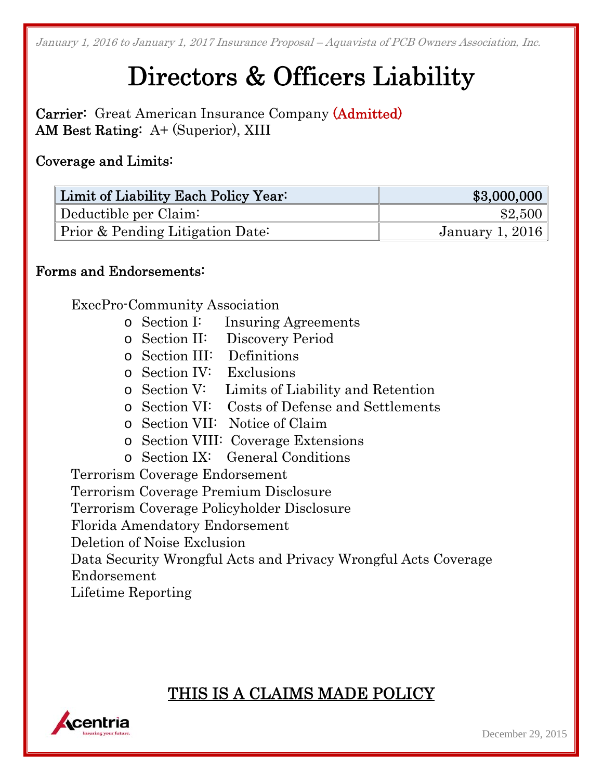# Directors & Officers Liability

Carrier: Great American Insurance Company (Admitted) AM Best Rating: A+ (Superior), XIII

#### Coverage and Limits:

| Limit of Liability Each Policy Year:        | \$3,000,000            |
|---------------------------------------------|------------------------|
| Deductible per Claim:                       | \$2,500                |
| <b>Prior &amp; Pending Litigation Date:</b> | <b>January 1, 2016</b> |

#### Forms and Endorsements:

ExecPro-Community Association

- o Section I: Insuring Agreements
- o Section II: Discovery Period
- o Section III: Definitions
- o Section IV: Exclusions
- o Section V: Limits of Liability and Retention
- o Section VI: Costs of Defense and Settlements
- o Section VII: Notice of Claim
- o Section VIII: Coverage Extensions
- o Section IX: General Conditions

Terrorism Coverage Endorsement Terrorism Coverage Premium Disclosure Terrorism Coverage Policyholder Disclosure Florida Amendatory Endorsement Deletion of Noise Exclusion Data Security Wrongful Acts and Privacy Wrongful Acts Coverage Endorsement Lifetime Reporting

### THIS IS A CLAIMS MADE POLICY